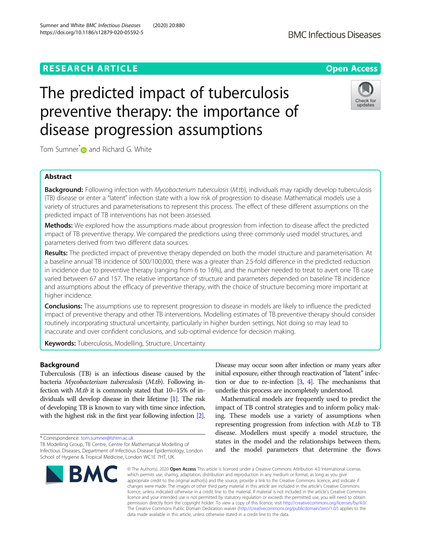# **RESEARCH ARTICLE Example 2014 12:30 The Contract of Contract ACCESS**

# The predicted impact of tuberculosis preventive therapy: the importance of disease progression assumptions

Tom Sumner<sup>[\\*](http://orcid.org/0000-0001-9305-534X)</sup> and Richard G. White

# Abstract

Background: Following infection with Mycobacterium tuberculosis (M.tb), individuals may rapidly develop tuberculosis (TB) disease or enter a "latent" infection state with a low risk of progression to disease. Mathematical models use a variety of structures and parameterisations to represent this process. The effect of these different assumptions on the predicted impact of TB interventions has not been assessed.

Methods: We explored how the assumptions made about progression from infection to disease affect the predicted impact of TB preventive therapy. We compared the predictions using three commonly used model structures, and parameters derived from two different data sources.

Results: The predicted impact of preventive therapy depended on both the model structure and parameterisation. At a baseline annual TB incidence of 500/100,000, there was a greater than 2.5-fold difference in the predicted reduction in incidence due to preventive therapy (ranging from 6 to 16%), and the number needed to treat to avert one TB case varied between 67 and 157. The relative importance of structure and parameters depended on baseline TB incidence and assumptions about the efficacy of preventive therapy, with the choice of structure becoming more important at higher incidence.

**Conclusions:** The assumptions use to represent progression to disease in models are likely to influence the predicted impact of preventive therapy and other TB interventions. Modelling estimates of TB preventive therapy should consider routinely incorporating structural uncertainty, particularly in higher burden settings. Not doing so may lead to inaccurate and over confident conclusions, and sub-optimal evidence for decision making.

Keywords: Tuberculosis, Modelling, Structure, Uncertainty

# Background

Tuberculosis (TB) is an infectious disease caused by the bacteria Mycobacterium tuberculosis (M.tb). Following infection with M.tb it is commonly stated that 10–15% of individuals will develop disease in their lifetime [\[1\]](#page-7-0). The risk of developing TB is known to vary with time since infection, with the highest risk in the first year following infection [\[2](#page-7-0)].

\* Correspondence: [tom.sumner@lshtm.ac.uk](mailto:tom.sumner@lshtm.ac.uk)

**BMC** 

Infectious Diseases, Department of Infectious Disease Epidemiology, London School of Hygiene & Tropical Medicine, London WC1E 7HT, UK

Disease may occur soon after infection or many years after initial exposure, either through reactivation of "latent" infection or due to re-infection  $[3, 4]$  $[3, 4]$  $[3, 4]$ . The mechanisms that underlie this process are incompletely understood.

Mathematical models are frequently used to predict the impact of TB control strategies and to inform policy making. These models use a variety of assumptions when representing progression from infection with M.tb to TB disease. Modellers must specify a model structure, the states in the model and the relationships between them, and the model parameters that determine the flows

© The Author(s), 2020 **Open Access** This article is licensed under a Creative Commons Attribution 4.0 International License, which permits use, sharing, adaptation, distribution and reproduction in any medium or format, as long as you give appropriate credit to the original author(s) and the source, provide a link to the Creative Commons licence, and indicate if changes were made. The images or other third party material in this article are included in the article's Creative Commons licence, unless indicated otherwise in a credit line to the material. If material is not included in the article's Creative Commons licence and your intended use is not permitted by statutory regulation or exceeds the permitted use, you will need to obtain permission directly from the copyright holder. To view a copy of this licence, visit [http://creativecommons.org/licenses/by/4.0/.](http://creativecommons.org/licenses/by/4.0/) The Creative Commons Public Domain Dedication waiver [\(http://creativecommons.org/publicdomain/zero/1.0/](http://creativecommons.org/publicdomain/zero/1.0/)) applies to the data made available in this article, unless otherwise stated in a credit line to the data.

TB Modelling Group, TB Centre, Centre for Mathematical Modelling of





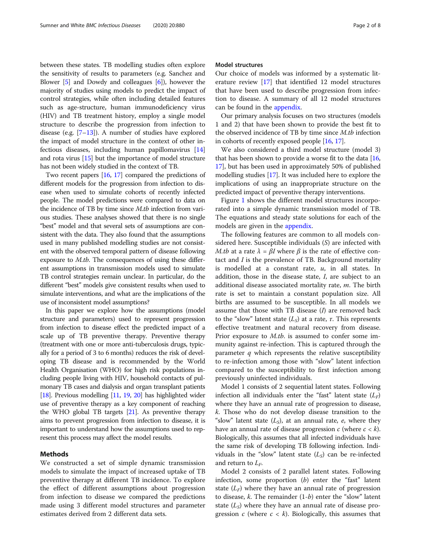between these states. TB modelling studies often explore the sensitivity of results to parameters (e.g. Sanchez and Blower [[5\]](#page-7-0) and Dowdy and colleagues [[6\]](#page-7-0)), however the majority of studies using models to predict the impact of control strategies, while often including detailed features such as age-structure, human immunodeficiency virus (HIV) and TB treatment history, employ a single model structure to describe the progression from infection to disease (e.g.  $[7-13]$  $[7-13]$  $[7-13]$  $[7-13]$ ). A number of studies have explored the impact of model structure in the context of other infectious diseases, including human papillomavirus [[14](#page-7-0)] and rota virus [\[15\]](#page-7-0) but the importance of model structure has not been widely studied in the context of TB.

Two recent papers [\[16,](#page-7-0) [17\]](#page-7-0) compared the predictions of different models for the progression from infection to disease when used to simulate cohorts of recently infected people. The model predictions were compared to data on the incidence of TB by time since M.tb infection from various studies. These analyses showed that there is no single "best" model and that several sets of assumptions are consistent with the data. They also found that the assumptions used in many published modelling studies are not consistent with the observed temporal pattern of disease following exposure to *M.tb.* The consequences of using these different assumptions in transmission models used to simulate TB control strategies remain unclear. In particular, do the different "best" models give consistent results when used to simulate interventions, and what are the implications of the use of inconsistent model assumptions?

In this paper we explore how the assumptions (model structure and parameters) used to represent progression from infection to disease effect the predicted impact of a scale up of TB preventive therapy. Preventive therapy (treatment with one or more anti-tuberculosis drugs, typically for a period of 3 to 6 months) reduces the risk of developing TB disease and is recommended by the World Health Organisation (WHO) for high risk populations including people living with HIV, household contacts of pulmonary TB cases and dialysis and organ transplant patients [[18](#page-7-0)]. Previous modelling [[11](#page-7-0), [19,](#page-7-0) [20\]](#page-7-0) has highlighted wider use of preventive therapy as a key component of reaching the WHO global TB targets [[21](#page-7-0)]. As preventive therapy aims to prevent progression from infection to disease, it is important to understand how the assumptions used to represent this process may affect the model results.

# Methods

We constructed a set of simple dynamic transmission models to simulate the impact of increased uptake of TB preventive therapy at different TB incidence. To explore the effect of different assumptions about progression from infection to disease we compared the predictions made using 3 different model structures and parameter estimates derived from 2 different data sets.

#### Model structures

Our choice of models was informed by a systematic literature review [\[17](#page-7-0)] that identified 12 model structures that have been used to describe progression from infection to disease. A summary of all 12 model structures can be found in the [appendix](#page-6-0).

Our primary analysis focuses on two structures (models 1 and 2) that have been shown to provide the best fit to the observed incidence of TB by time since M.tb infection in cohorts of recently exposed people [[16](#page-7-0), [17\]](#page-7-0).

We also considered a third model structure (model 3) that has been shown to provide a worse fit to the data  $[16,$  $[16,$  $[16,$ [17](#page-7-0)], but has been used in approximately 50% of published modelling studies [\[17\]](#page-7-0). It was included here to explore the implications of using an inappropriate structure on the predicted impact of preventive therapy interventions.

Figure [1](#page-2-0) shows the different model structures incorporated into a simple dynamic transmission model of TB. The equations and steady state solutions for each of the models are given in the [appendix.](#page-6-0)

The following features are common to all models considered here. Susceptible individuals (S) are infected with M.tb at a rate  $\lambda = \beta I$  where  $\beta$  is the rate of effective contact and I is the prevalence of TB. Background mortality is modelled at a constant rate,  $u$ , in all states. In addition, those in the disease state, I, are subject to an additional disease associated mortality rate,  $m$ . The birth rate is set to maintain a constant population size. All births are assumed to be susceptible. In all models we assume that those with TB disease  $(I)$  are removed back to the "slow" latent state  $(L<sub>S</sub>)$  at a rate, τ. This represents effective treatment and natural recovery from disease. Prior exposure to *M.tb.* is assumed to confer some immunity against re-infection. This is captured through the parameter  $q$  which represents the relative susceptibility to re-infection among those with "slow" latent infection compared to the susceptibility to first infection among previously uninfected individuals.

Model 1 consists of 2 sequential latent states. Following infection all individuals enter the "fast" latent state  $(L_F)$ where they have an annual rate of progression to disease, k. Those who do not develop disease transition to the "slow" latent state  $(L<sub>S</sub>)$ , at an annual rate, e, where they have an annual rate of disease progression c (where  $c < k$ ). Biologically, this assumes that all infected individuals have the same risk of developing TB following infection. Individuals in the "slow" latent state  $(L<sub>S</sub>)$  can be re-infected and return to  $L_F$ .

Model 2 consists of 2 parallel latent states. Following infection, some proportion  $(b)$  enter the "fast" latent state  $(L_F)$  where they have an annual rate of progression to disease,  $k$ . The remainder  $(1-b)$  enter the "slow" latent state  $(L<sub>S</sub>)$  where they have an annual rate of disease progression c (where  $c < k$ ). Biologically, this assumes that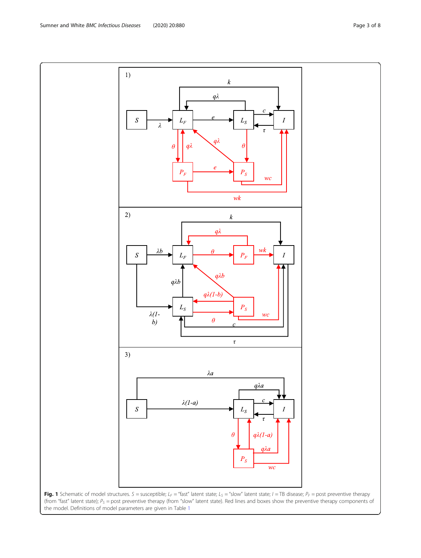Fig. 1 Schematic of model structures.  $S =$  susceptible;  $L_F =$  "fast" latent state;  $L_S =$  "slow" latent state;  $I =$  TB disease;  $P_F =$  post preventive therapy (from "fast" latent state);  $P_S$  = post preventive therapy (from "slow" latent state). Red lines and boxes show the preventive therapy components of the model. Definitions of model parameters are given in Table [1](#page-3-0)

<span id="page-2-0"></span>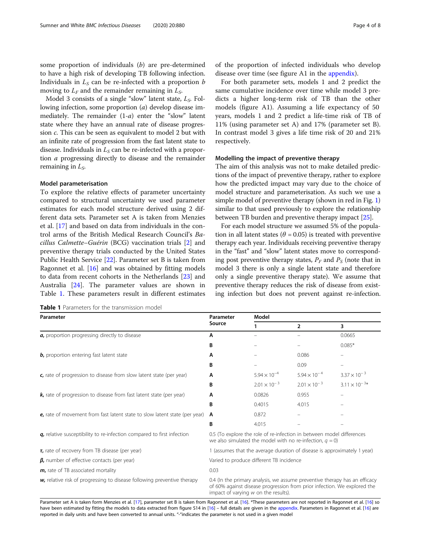<span id="page-3-0"></span>some proportion of individuals (b) are pre-determined to have a high risk of developing TB following infection. Individuals in  $L<sub>S</sub>$  can be re-infected with a proportion b moving to  $L<sub>F</sub>$  and the remainder remaining in  $L<sub>S</sub>$ .

Model 3 consists of a single "slow" latent state,  $L_S$ . Following infection, some proportion (a) develop disease immediately. The remainder (1-a) enter the "slow" latent state where they have an annual rate of disease progression c. This can be seen as equivalent to model 2 but with an infinite rate of progression from the fast latent state to disease. Individuals in  $L<sub>S</sub>$  can be re-infected with a proportion a progressing directly to disease and the remainder remaining in  $L<sub>S</sub>$ .

#### Model parameterisation

To explore the relative effects of parameter uncertainty compared to structural uncertainty we used parameter estimates for each model structure derived using 2 different data sets. Parameter set A is taken from Menzies et al. [\[17](#page-7-0)] and based on data from individuals in the control arms of the British Medical Research Council's Bacillus Calmette–Guérin (BCG) vaccination trials [[2\]](#page-7-0) and preventive therapy trials conducted by the United States Public Health Service [\[22](#page-7-0)]. Parameter set B is taken from Ragonnet et al. [\[16](#page-7-0)] and was obtained by fitting models to data from recent cohorts in the Netherlands [\[23\]](#page-7-0) and Australia [[24](#page-7-0)]. The parameter values are shown in Table 1. These parameters result in different estimates

Table 1 Parameters for the transmission model

of the proportion of infected individuals who develop disease over time (see figure A1 in the [appendix\)](#page-6-0).

For both parameter sets, models 1 and 2 predict the same cumulative incidence over time while model 3 predicts a higher long-term risk of TB than the other models (figure A1). Assuming a life expectancy of 50 years, models 1 and 2 predict a life-time risk of TB of 11% (using parameter set A) and 17% (parameter set B). In contrast model 3 gives a life time risk of 20 and 21% respectively.

## Modelling the impact of preventive therapy

The aim of this analysis was not to make detailed predictions of the impact of preventive therapy, rather to explore how the predicted impact may vary due to the choice of model structure and parameterisation. As such we use a simple model of preventive therapy (shown in red in Fig. [1](#page-2-0)) similar to that used previously to explore the relationship between TB burden and preventive therapy impact [[25](#page-7-0)].

For each model structure we assumed 5% of the population in all latent states ( $\theta$  = 0.05) is treated with preventive therapy each year. Individuals receiving preventive therapy in the "fast" and "slow" latent states move to corresponding post preventive therapy states,  $P_F$  and  $P_S$  (note that in model 3 there is only a single latent state and therefore only a single preventive therapy state). We assume that preventive therapy reduces the risk of disease from existing infection but does not prevent against re-infection.

| Parameter                                                                  | Parameter<br>Source                                                                                                                                                                            | Model                 |                       |                          |  |
|----------------------------------------------------------------------------|------------------------------------------------------------------------------------------------------------------------------------------------------------------------------------------------|-----------------------|-----------------------|--------------------------|--|
|                                                                            |                                                                                                                                                                                                |                       | $\overline{2}$        | 3                        |  |
| a, proportion progressing directly to disease                              | A                                                                                                                                                                                              | -                     |                       | 0.0665                   |  |
|                                                                            | B                                                                                                                                                                                              |                       |                       | $0.085*$                 |  |
| <b>b</b> , proportion entering fast latent state                           | A                                                                                                                                                                                              |                       | 0.086                 |                          |  |
|                                                                            | В                                                                                                                                                                                              |                       | 0.09                  | $\overline{\phantom{m}}$ |  |
| c, rate of progression to disease from slow latent state (per year)        | A                                                                                                                                                                                              | $5.94 \times 10^{-4}$ | $5.94 \times 10^{-4}$ | $3.37 \times 10^{-3}$    |  |
|                                                                            | B                                                                                                                                                                                              | $2.01 \times 10^{-3}$ | $2.01 \times 10^{-3}$ | $3.11 \times 10^{-3*}$   |  |
| k, rate of progression to disease from fast latent state (per year)        | A                                                                                                                                                                                              | 0.0826                | 0.955                 |                          |  |
|                                                                            | B                                                                                                                                                                                              | 0.4015                | 4.015                 |                          |  |
| e, rate of movement from fast latent state to slow latent state (per year) | A                                                                                                                                                                                              | 0.872                 |                       |                          |  |
|                                                                            | B                                                                                                                                                                                              | 4.015                 |                       |                          |  |
| q, relative susceptibility to re-infection compared to first infection     | 0.5 (To explore the role of re-infection in between model differences<br>we also simulated the model with no re-infection, $q = 0$ )                                                           |                       |                       |                          |  |
| $\tau$ , rate of recovery from TB disease (per year)                       | 1 (assumes that the average duration of disease is approximately 1 year)                                                                                                                       |                       |                       |                          |  |
| $\beta$ , number of effective contacts (per year)                          | Varied to produce different TB incidence                                                                                                                                                       |                       |                       |                          |  |
| m, rate of TB associated mortality                                         | 0.03                                                                                                                                                                                           |                       |                       |                          |  |
| w, relative risk of progressing to disease following preventive therapy    | 0.4 (In the primary analysis, we assume preventive therapy has an efficacy<br>of 60% against disease progression from prior infection. We explored the<br>impact of varying w on the results). |                       |                       |                          |  |

Parameter set A is taken form Menzies et al. [\[17](#page-7-0)], parameter set B is taken from Ragonnet et al. [\[16](#page-7-0)]. \*These parameters are not reported in Ragonnet et al. [16] so have been estimated by fitting the models to data extracted from figure S14 in [\[16\]](#page-7-0) – full details are given in the [appendix.](#page-6-0) Parameters in Ragonnet et al. [[16\]](#page-7-0) are reported in daily units and have been converted to annual units. "-"indicates the parameter is not used in a given model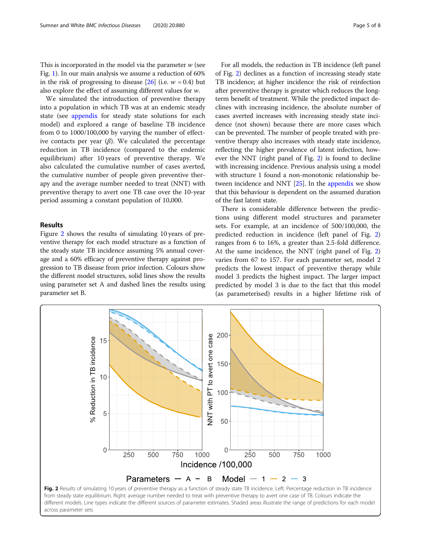This is incorporated in the model via the parameter  $w$  (see Fig. [1](#page-2-0)). In our main analysis we assume a reduction of 60% in the risk of progressing to disease  $[26]$  (i.e.  $w = 0.4$ ) but also explore the effect of assuming different values for w.

We simulated the introduction of preventive therapy into a population in which TB was at an endemic steady state (see [appendix](#page-6-0) for steady state solutions for each model) and explored a range of baseline TB incidence from 0 to 1000/100,000 by varying the number of effective contacts per year  $(\beta)$ . We calculated the percentage reduction in TB incidence (compared to the endemic equilibrium) after 10 years of preventive therapy. We also calculated the cumulative number of cases averted, the cumulative number of people given preventive therapy and the average number needed to treat (NNT) with preventive therapy to avert one TB case over the 10-year period assuming a constant population of 10,000.

# Results

Figure 2 shows the results of simulating 10 years of preventive therapy for each model structure as a function of the steady state TB incidence assuming 5% annual coverage and a 60% efficacy of preventive therapy against progression to TB disease from prior infection. Colours show the different model structures, solid lines show the results using parameter set A and dashed lines the results using parameter set B.

For all models, the reduction in TB incidence (left panel of Fig. 2) declines as a function of increasing steady state TB incidence; at higher incidence the risk of reinfection after preventive therapy is greater which reduces the longterm benefit of treatment. While the predicted impact declines with increasing incidence, the absolute number of cases averted increases with increasing steady state incidence (not shown) because there are more cases which can be prevented. The number of people treated with preventive therapy also increases with steady state incidence, reflecting the higher prevalence of latent infection, however the NNT (right panel of Fig. 2) is found to decline with increasing incidence. Previous analysis using a model with structure 1 found a non-monotonic relationship be-tween incidence and NNT [\[25\]](#page-7-0). In the [appendix](#page-6-0) we show that this behaviour is dependent on the assumed duration of the fast latent state.

There is considerable difference between the predictions using different model structures and parameter sets. For example, at an incidence of 500/100,000, the predicted reduction in incidence (left panel of Fig. 2) ranges from 6 to 16%, a greater than 2.5-fold difference. At the same incidence, the NNT (right panel of Fig. 2) varies from 67 to 157. For each parameter set, model 2 predicts the lowest impact of preventive therapy while model 3 predicts the highest impact. The larger impact predicted by model 3 is due to the fact that this model (as parameterised) results in a higher lifetime risk of

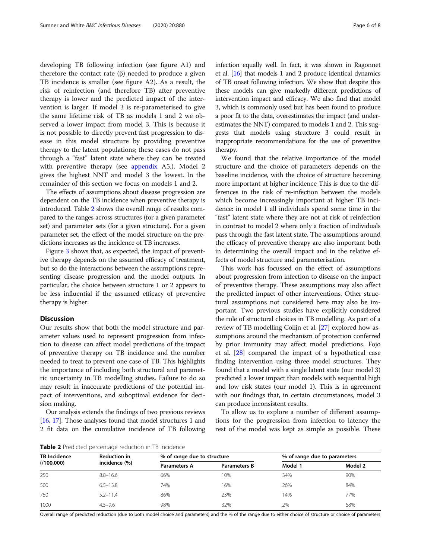developing TB following infection (see figure A1) and therefore the contact rate (β) needed to produce a given TB incidence is smaller (see figure A2). As a result, the risk of reinfection (and therefore TB) after preventive therapy is lower and the predicted impact of the intervention is larger. If model 3 is re-parameterised to give the same lifetime risk of TB as models 1 and 2 we observed a lower impact from model 3. This is because it is not possible to directly prevent fast progression to disease in this model structure by providing preventive therapy to the latent populations; these cases do not pass through a "fast" latent state where they can be treated with preventive therapy (see [appendix](#page-6-0) A5.). Model 2 gives the highest NNT and model 3 the lowest. In the remainder of this section we focus on models 1 and 2.

The effects of assumptions about disease progression are dependent on the TB incidence when preventive therapy is introduced. Table 2 shows the overall range of results compared to the ranges across structures (for a given parameter set) and parameter sets (for a given structure). For a given parameter set, the effect of the model structure on the predictions increases as the incidence of TB increases.

Figure [3](#page-6-0) shows that, as expected, the impact of preventive therapy depends on the assumed efficacy of treatment, but so do the interactions between the assumptions representing disease progression and the model outputs. In particular, the choice between structure 1 or 2 appears to be less influential if the assumed efficacy of preventive therapy is higher.

# Discussion

Our results show that both the model structure and parameter values used to represent progression from infection to disease can affect model predictions of the impact of preventive therapy on TB incidence and the number needed to treat to prevent one case of TB. This highlights the importance of including both structural and parametric uncertainty in TB modelling studies. Failure to do so may result in inaccurate predictions of the potential impact of interventions, and suboptimal evidence for decision making.

Our analysis extends the findings of two previous reviews [[16](#page-7-0), [17\]](#page-7-0). Those analyses found that model structures 1 and 2 fit data on the cumulative incidence of TB following infection equally well. In fact, it was shown in Ragonnet et al. [\[16\]](#page-7-0) that models 1 and 2 produce identical dynamics of TB onset following infection. We show that despite this these models can give markedly different predictions of intervention impact and efficacy. We also find that model 3, which is commonly used but has been found to produce a poor fit to the data, overestimates the impact (and underestimates the NNT) compared to models 1 and 2. This suggests that models using structure 3 could result in inappropriate recommendations for the use of preventive therapy.

We found that the relative importance of the model structure and the choice of parameters depends on the baseline incidence, with the choice of structure becoming more important at higher incidence This is due to the differences in the risk of re-infection between the models which become increasingly important at higher TB incidence: in model 1 all individuals spend some time in the "fast" latent state where they are not at risk of reinfection in contrast to model 2 where only a fraction of individuals pass through the fast latent state. The assumptions around the efficacy of preventive therapy are also important both in determining the overall impact and in the relative effects of model structure and parameterisation.

This work has focussed on the effect of assumptions about progression from infection to disease on the impact of preventive therapy. These assumptions may also affect the predicted impact of other interventions. Other structural assumptions not considered here may also be important. Two previous studies have explicitly considered the role of structural choices in TB modelling. As part of a review of TB modelling Colijn et al. [\[27\]](#page-7-0) explored how assumptions around the mechanism of protection conferred by prior immunity may affect model predictions. Fojo et al. [[28\]](#page-7-0) compared the impact of a hypothetical case finding intervention using three model structures. They found that a model with a single latent state (our model 3) predicted a lower impact than models with sequential high and low risk states (our model 1). This is in agreement with our findings that, in certain circumstances, model 3 can produce inconsistent results.

To allow us to explore a number of different assumptions for the progression from infection to latency the rest of the model was kept as simple as possible. These

Table 2 Predicted percentage reduction in TB incidence

| <b>TB Incidence</b><br>(100,000) | <b>Reduction in</b> | % of range due to structure |                     | % of range due to parameters |         |
|----------------------------------|---------------------|-----------------------------|---------------------|------------------------------|---------|
|                                  | incidence (%)       | <b>Parameters A</b>         | <b>Parameters B</b> | Model 1                      | Model 2 |
| 250                              | $8.8 - 16.6$        | 66%                         | 10%                 | 34%                          | 90%     |
| 500                              | $6.5 - 13.8$        | 74%                         | 16%                 | 26%                          | 84%     |
| 750                              | $5.2 - 11.4$        | 86%                         | 23%                 | 14%                          | 77%     |
| 1000                             | $4.5 - 9.6$         | 98%                         | 32%                 | 2%                           | 68%     |

Overall range of predicted reduction (due to both model choice and parameters) and the % of the range due to either choice of structure or choice of parameters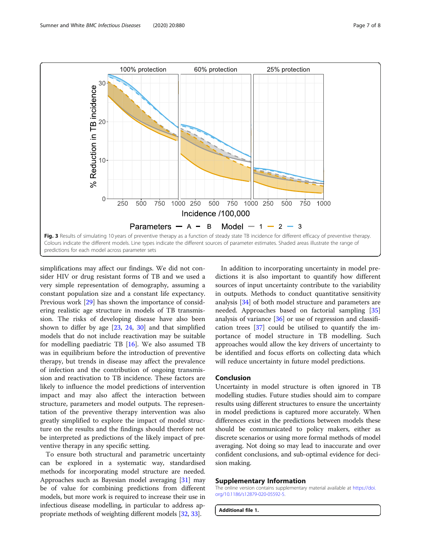<span id="page-6-0"></span>

simplifications may affect our findings. We did not consider HIV or drug resistant forms of TB and we used a very simple representation of demography, assuming a constant population size and a constant life expectancy. Previous work [\[29](#page-7-0)] has shown the importance of considering realistic age structure in models of TB transmission. The risks of developing disease have also been shown to differ by age [[23,](#page-7-0) [24](#page-7-0), [30](#page-7-0)] and that simplified models that do not include reactivation may be suitable for modelling paediatric TB [\[16\]](#page-7-0). We also assumed TB was in equilibrium before the introduction of preventive therapy, but trends in disease may affect the prevalence of infection and the contribution of ongoing transmission and reactivation to TB incidence. These factors are likely to influence the model predictions of intervention impact and may also affect the interaction between structure, parameters and model outputs. The representation of the preventive therapy intervention was also greatly simplified to explore the impact of model structure on the results and the findings should therefore not be interpreted as predictions of the likely impact of preventive therapy in any specific setting.

To ensure both structural and parametric uncertainty can be explored in a systematic way, standardised methods for incorporating model structure are needed. Approaches such as Bayesian model averaging [[31](#page-7-0)] may be of value for combining predictions from different models, but more work is required to increase their use in infectious disease modelling, in particular to address appropriate methods of weighting different models [\[32,](#page-7-0) [33\]](#page-7-0).

In addition to incorporating uncertainty in model predictions it is also important to quantify how different sources of input uncertainty contribute to the variability in outputs. Methods to conduct quantitative sensitivity analysis [\[34](#page-7-0)] of both model structure and parameters are needed. Approaches based on factorial sampling [[35](#page-7-0)] analysis of variance [\[36\]](#page-7-0) or use of regression and classification trees [[37\]](#page-7-0) could be utilised to quantify the importance of model structure in TB modelling. Such approaches would allow the key drivers of uncertainty to be identified and focus efforts on collecting data which will reduce uncertainty in future model predictions.

# Conclusion

Uncertainty in model structure is often ignored in TB modelling studies. Future studies should aim to compare results using different structures to ensure the uncertainty in model predictions is captured more accurately. When differences exist in the predictions between models these should be communicated to policy makers, either as discrete scenarios or using more formal methods of model averaging. Not doing so may lead to inaccurate and over confident conclusions, and sub-optimal evidence for decision making.

#### Supplementary Information

The online version contains supplementary material available at [https://doi.](https://doi.org/10.1186/s12879-020-05592-5) [org/10.1186/s12879-020-05592-5.](https://doi.org/10.1186/s12879-020-05592-5)

Additional file 1.